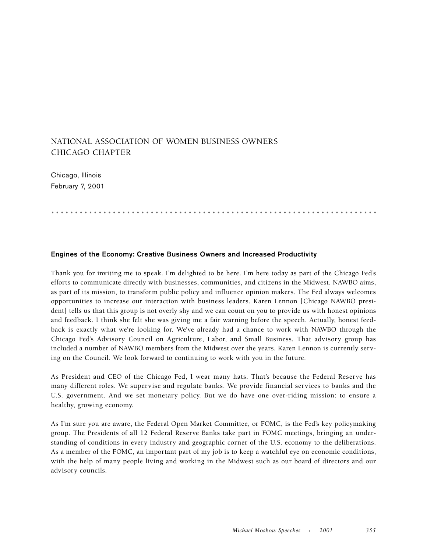## NATIONAL ASSOCIATION OF WOMEN BUSINESS OWNERS CHICAGO CHAPTER

Chicago, Illinois February 7, 2001

.....................................................................

## **Engines of the Economy: Creative Business Owners and Increased Productivity**

Thank you for inviting me to speak. I'm delighted to be here. I'm here today as part of the Chicago Fed's efforts to communicate directly with businesses, communities, and citizens in the Midwest. NAWBO aims, as part of its mission, to transform public policy and influence opinion makers. The Fed always welcomes opportunities to increase our interaction with business leaders. Karen Lennon [Chicago NAWBO president] tells us that this group is not overly shy and we can count on you to provide us with honest opinions and feedback. I think she felt she was giving me a fair warning before the speech. Actually, honest feedback is exactly what we're looking for. We've already had a chance to work with NAWBO through the Chicago Fed's Advisory Council on Agriculture, Labor, and Small Business. That advisory group has included a number of NAWBO members from the Midwest over the years. Karen Lennon is currently serving on the Council. We look forward to continuing to work with you in the future.

As President and CEO of the Chicago Fed, I wear many hats. That's because the Federal Reserve has many different roles. We supervise and regulate banks. We provide financial services to banks and the U.S. government. And we set monetary policy. But we do have one over-riding mission: to ensure a healthy, growing economy.

As I'm sure you are aware, the Federal Open Market Committee, or FOMC, is the Fed's key policymaking group. The Presidents of all 12 Federal Reserve Banks take part in FOMC meetings, bringing an understanding of conditions in every industry and geographic corner of the U.S. economy to the deliberations. As a member of the FOMC, an important part of my job is to keep a watchful eye on economic conditions, with the help of many people living and working in the Midwest such as our board of directors and our advisory councils.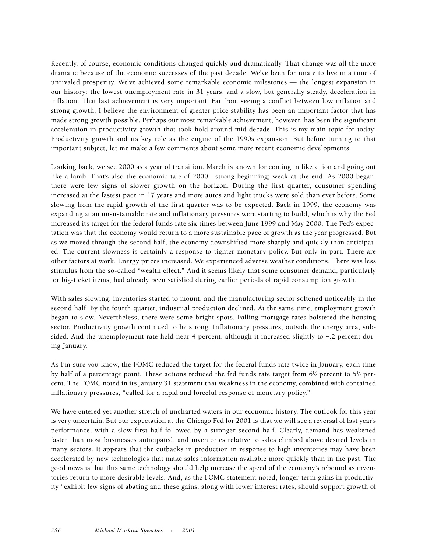Recently, of course, economic conditions changed quickly and dramatically. That change was all the more dramatic because of the economic successes of the past decade. We've been fortunate to live in a time of unrivaled prosperity. We've achieved some remarkable economic milestones — the longest expansion in our history; the lowest unemployment rate in 31 years; and a slow, but generally steady, deceleration in inflation. That last achievement is very important. Far from seeing a conflict between low inflation and strong growth, I believe the environment of greater price stability has been an important factor that has made strong growth possible. Perhaps our most remarkable achievement, however, has been the significant acceleration in productivity growth that took hold around mid-decade. This is my main topic for today: Productivity growth and its key role as the engine of the 1990s expansion. But before turning to that important subject, let me make a few comments about some more recent economic developments.

Looking back, we see 2000 as a year of transition. March is known for coming in like a lion and going out like a lamb. That's also the economic tale of 2000—strong beginning; weak at the end. As 2000 began, there were few signs of slower growth on the horizon. During the first quarter, consumer spending increased at the fastest pace in 17 years and more autos and light trucks were sold than ever before. Some slowing from the rapid growth of the first quarter was to be expected. Back in 1999, the economy was expanding at an unsustainable rate and inflationary pressures were starting to build, which is why the Fed increased its target for the federal funds rate six times between June 1999 and May 2000. The Fed's expectation was that the economy would return to a more sustainable pace of growth as the year progressed. But as we moved through the second half, the economy downshifted more sharply and quickly than anticipated. The current slowness is certainly a response to tighter monetary policy. But only in part. There are other factors at work. Energy prices increased. We experienced adverse weather conditions. There was less stimulus from the so-called "wealth effect." And it seems likely that some consumer demand, particularly for big-ticket items, had already been satisfied during earlier periods of rapid consumption growth.

With sales slowing, inventories started to mount, and the manufacturing sector softened noticeably in the second half. By the fourth quarter, industrial production declined. At the same time, employment growth began to slow. Nevertheless, there were some bright spots. Falling mortgage rates bolstered the housing sector. Productivity growth continued to be strong. Inflationary pressures, outside the energy area, subsided. And the unemployment rate held near 4 percent, although it increased slightly to 4.2 percent during January.

As I'm sure you know, the FOMC reduced the target for the federal funds rate twice in January, each time by half of a percentage point. These actions reduced the fed funds rate target from 6½ percent to 5½ percent. The FOMC noted in its January 31 statement that weakness in the economy, combined with contained inflationary pressures, "called for a rapid and forceful response of monetary policy."

We have entered yet another stretch of uncharted waters in our economic history. The outlook for this year is very uncertain. But our expectation at the Chicago Fed for 2001 is that we will see a reversal of last year's performance, with a slow first half followed by a stronger second half. Clearly, demand has weakened faster than most businesses anticipated, and inventories relative to sales climbed above desired levels in many sectors. It appears that the cutbacks in production in response to high inventories may have been accelerated by new technologies that make sales information available more quickly than in the past. The good news is that this same technology should help increase the speed of the economy's rebound as inventories return to more desirable levels. And, as the FOMC statement noted, longer-term gains in productivity "exhibit few signs of abating and these gains, along with lower interest rates, should support growth of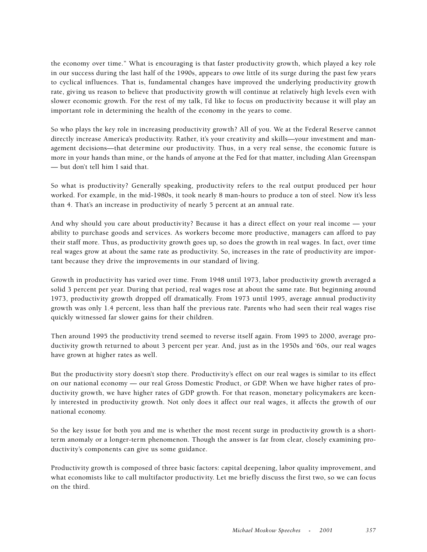the economy over time." What is encouraging is that faster productivity growth, which played a key role in our success during the last half of the 1990s, appears to owe little of its surge during the past few years to cyclical influences. That is, fundamental changes have improved the underlying productivity growth rate, giving us reason to believe that productivity growth will continue at relatively high levels even with slower economic growth. For the rest of my talk, I'd like to focus on productivity because it will play an important role in determining the health of the economy in the years to come.

So who plays the key role in increasing productivity growth? All of you. We at the Federal Reserve cannot directly increase America's productivity. Rather, it's your creativity and skills—your investment and management decisions—that determine our productivity. Thus, in a very real sense, the economic future is more in your hands than mine, or the hands of anyone at the Fed for that matter, including Alan Greenspan — but don't tell him I said that.

So what is productivity? Generally speaking, productivity refers to the real output produced per hour worked. For example, in the mid-1980s, it took nearly 8 man-hours to produce a ton of steel. Now it's less than 4. That's an increase in productivity of nearly 5 percent at an annual rate.

And why should you care about productivity? Because it has a direct effect on your real income — your ability to purchase goods and services. As workers become more productive, managers can afford to pay their staff more. Thus, as productivity growth goes up, so does the growth in real wages. In fact, over time real wages grow at about the same rate as productivity. So, increases in the rate of productivity are important because they drive the improvements in our standard of living.

Growth in productivity has varied over time. From 1948 until 1973, labor productivity growth averaged a solid 3 percent per year. During that period, real wages rose at about the same rate. But beginning around 1973, productivity growth dropped off dramatically. From 1973 until 1995, average annual productivity growth was only 1.4 percent, less than half the previous rate. Parents who had seen their real wages rise quickly witnessed far slower gains for their children.

Then around 1995 the productivity trend seemed to reverse itself again. From 1995 to 2000, average productivity growth returned to about 3 percent per year. And, just as in the 1950s and '60s, our real wages have grown at higher rates as well.

But the productivity story doesn't stop there. Productivity's effect on our real wages is similar to its effect on our national economy — our real Gross Domestic Product, or GDP. When we have higher rates of productivity growth, we have higher rates of GDP growth. For that reason, monetary policymakers are keenly interested in productivity growth. Not only does it affect our real wages, it affects the growth of our national economy.

So the key issue for both you and me is whether the most recent surge in productivity growth is a shortterm anomaly or a longer-term phenomenon. Though the answer is far from clear, closely examining productivity's components can give us some guidance.

Productivity growth is composed of three basic factors: capital deepening, labor quality improvement, and what economists like to call multifactor productivity. Let me briefly discuss the first two, so we can focus on the third.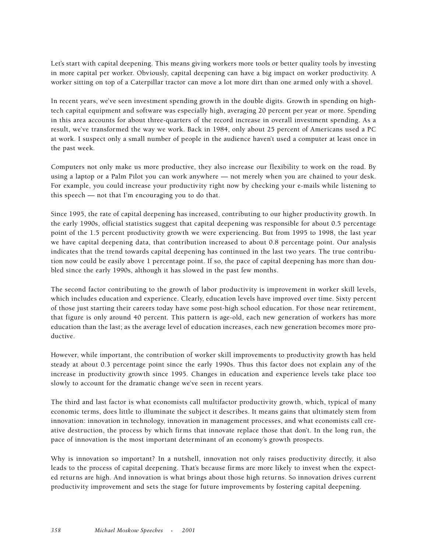Let's start with capital deepening. This means giving workers more tools or better quality tools by investing in more capital per worker. Obviously, capital deepening can have a big impact on worker productivity. A worker sitting on top of a Caterpillar tractor can move a lot more dirt than one armed only with a shovel.

In recent years, we've seen investment spending growth in the double digits. Growth in spending on hightech capital equipment and software was especially high, averaging 20 percent per year or more. Spending in this area accounts for about three-quarters of the record increase in overall investment spending. As a result, we've transformed the way we work. Back in 1984, only about 25 percent of Americans used a PC at work. I suspect only a small number of people in the audience haven't used a computer at least once in the past week.

Computers not only make us more productive, they also increase our flexibility to work on the road. By using a laptop or a Palm Pilot you can work anywhere — not merely when you are chained to your desk. For example, you could increase your productivity right now by checking your e-mails while listening to this speech — not that I'm encouraging you to do that.

Since 1995, the rate of capital deepening has increased, contributing to our higher productivity growth. In the early 1990s, official statistics suggest that capital deepening was responsible for about 0.5 percentage point of the 1.5 percent productivity growth we were experiencing. But from 1995 to 1998, the last year we have capital deepening data, that contribution increased to about 0.8 percentage point. Our analysis indicates that the trend towards capital deepening has continued in the last two years. The true contribution now could be easily above 1 percentage point. If so, the pace of capital deepening has more than doubled since the early 1990s, although it has slowed in the past few months.

The second factor contributing to the growth of labor productivity is improvement in worker skill levels, which includes education and experience. Clearly, education levels have improved over time. Sixty percent of those just starting their careers today have some post-high school education. For those near retirement, that figure is only around 40 percent. This pattern is age-old, each new generation of workers has more education than the last; as the average level of education increases, each new generation becomes more productive.

However, while important, the contribution of worker skill improvements to productivity growth has held steady at about 0.3 percentage point since the early 1990s. Thus this factor does not explain any of the increase in productivity growth since 1995. Changes in education and experience levels take place too slowly to account for the dramatic change we've seen in recent years.

The third and last factor is what economists call multifactor productivity growth, which, typical of many economic terms, does little to illuminate the subject it describes. It means gains that ultimately stem from innovation: innovation in technology, innovation in management processes, and what economists call creative destruction, the process by which firms that innovate replace those that don't. In the long run, the pace of innovation is the most important determinant of an economy's growth prospects.

Why is innovation so important? In a nutshell, innovation not only raises productivity directly, it also leads to the process of capital deepening. That's because firms are more likely to invest when the expected returns are high. And innovation is what brings about those high returns. So innovation drives current productivity improvement and sets the stage for future improvements by fostering capital deepening.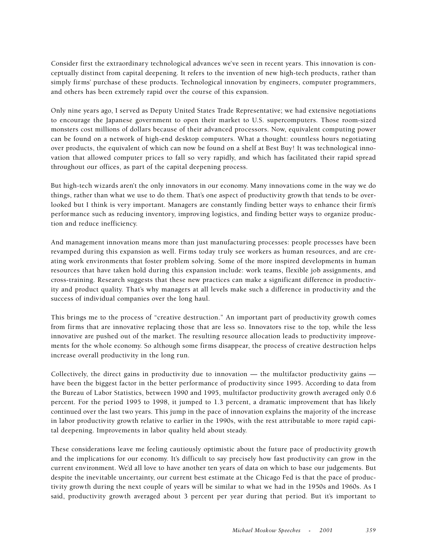Consider first the extraordinary technological advances we've seen in recent years. This innovation is conceptually distinct from capital deepening. It refers to the invention of new high-tech products, rather than simply firms' purchase of these products. Technological innovation by engineers, computer programmers, and others has been extremely rapid over the course of this expansion.

Only nine years ago, I served as Deputy United States Trade Representative; we had extensive negotiations to encourage the Japanese government to open their market to U.S. supercomputers. Those room-sized monsters cost millions of dollars because of their advanced processors. Now, equivalent computing power can be found on a network of high-end desktop computers. What a thought: countless hours negotiating over products, the equivalent of which can now be found on a shelf at Best Buy! It was technological innovation that allowed computer prices to fall so very rapidly, and which has facilitated their rapid spread throughout our offices, as part of the capital deepening process.

But high-tech wizards aren't the only innovators in our economy. Many innovations come in the way we do things, rather than what we use to do them. That's one aspect of productivity growth that tends to be overlooked but I think is very important. Managers are constantly finding better ways to enhance their firm's performance such as reducing inventory, improving logistics, and finding better ways to organize production and reduce inefficiency.

And management innovation means more than just manufacturing processes: people processes have been revamped during this expansion as well. Firms today truly see workers as human resources, and are creating work environments that foster problem solving. Some of the more inspired developments in human resources that have taken hold during this expansion include: work teams, flexible job assignments, and cross-training. Research suggests that these new practices can make a significant difference in productivity and product quality. That's why managers at all levels make such a difference in productivity and the success of individual companies over the long haul.

This brings me to the process of "creative destruction." An important part of productivity growth comes from firms that are innovative replacing those that are less so. Innovators rise to the top, while the less innovative are pushed out of the market. The resulting resource allocation leads to productivity improvements for the whole economy. So although some firms disappear, the process of creative destruction helps increase overall productivity in the long run.

Collectively, the direct gains in productivity due to innovation — the multifactor productivity gains have been the biggest factor in the better performance of productivity since 1995. According to data from the Bureau of Labor Statistics, between 1990 and 1995, multifactor productivity growth averaged only 0.6 percent. For the period 1995 to 1998, it jumped to 1.3 percent, a dramatic improvement that has likely continued over the last two years. This jump in the pace of innovation explains the majority of the increase in labor productivity growth relative to earlier in the 1990s, with the rest attributable to more rapid capital deepening. Improvements in labor quality held about steady.

These considerations leave me feeling cautiously optimistic about the future pace of productivity growth and the implications for our economy. It's difficult to say precisely how fast productivity can grow in the current environment. We'd all love to have another ten years of data on which to base our judgements. But despite the inevitable uncertainty, our current best estimate at the Chicago Fed is that the pace of productivity growth during the next couple of years will be similar to what we had in the 1950s and 1960s. As I said, productivity growth averaged about 3 percent per year during that period. But it's important to